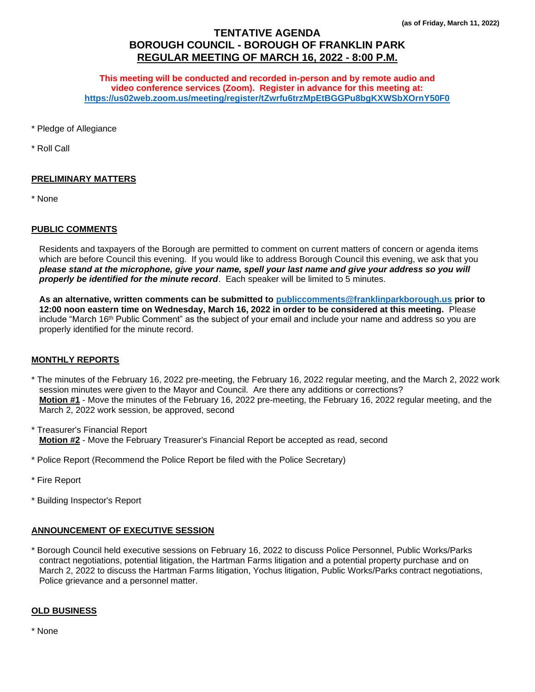# **TENTATIVE AGENDA BOROUGH COUNCIL - BOROUGH OF FRANKLIN PARK REGULAR MEETING OF MARCH 16, 2022 - 8:00 P.M.**

**This meeting will be conducted and recorded in-person and by remote audio and video conference services (Zoom). Register in advance for this meeting at: <https://us02web.zoom.us/meeting/register/tZwrfu6trzMpEtBGGPu8bgKXWSbXOrnY50F0>**

\* Pledge of Allegiance

\* Roll Call

## **PRELIMINARY MATTERS**

\* None

#### **PUBLIC COMMENTS**

Residents and taxpayers of the Borough are permitted to comment on current matters of concern or agenda items which are before Council this evening. If you would like to address Borough Council this evening, we ask that you *please stand at the microphone, give your name, spell your last name and give your address so you will properly be identified for the minute record*. Each speaker will be limited to 5 minutes.

**As an alternative, written comments can be submitted to [publiccomments@franklinparkborough.us](mailto:publiccomments@franklinparkborough.us) prior to 12:00 noon eastern time on Wednesday, March 16, 2022 in order to be considered at this meeting.** Please include "March 16th Public Comment" as the subject of your email and include your name and address so you are properly identified for the minute record.

#### **MONTHLY REPORTS**

- \* The minutes of the February 16, 2022 pre-meeting, the February 16, 2022 regular meeting, and the March 2, 2022 work session minutes were given to the Mayor and Council. Are there any additions or corrections? **Motion #1** - Move the minutes of the February 16, 2022 pre-meeting, the February 16, 2022 regular meeting, and the March 2, 2022 work session, be approved, second
- \* Treasurer's Financial Report **Motion #2** - Move the February Treasurer's Financial Report be accepted as read, second
- \* Police Report (Recommend the Police Report be filed with the Police Secretary)
- \* Fire Report
- \* Building Inspector's Report

## **ANNOUNCEMENT OF EXECUTIVE SESSION**

\* Borough Council held executive sessions on February 16, 2022 to discuss Police Personnel, Public Works/Parks contract negotiations, potential litigation, the Hartman Farms litigation and a potential property purchase and on March 2, 2022 to discuss the Hartman Farms litigation, Yochus litigation, Public Works/Parks contract negotiations, Police grievance and a personnel matter.

#### **OLD BUSINESS**

\* None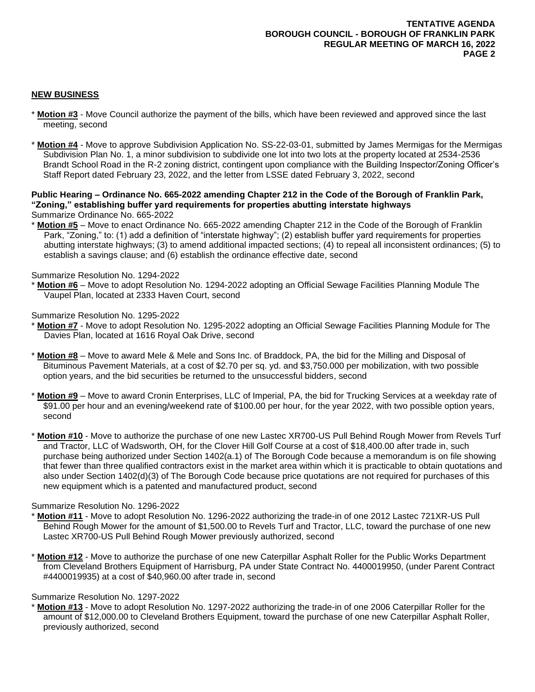# **NEW BUSINESS**

- \* **Motion #3** Move Council authorize the payment of the bills, which have been reviewed and approved since the last meeting, second
- \* **Motion #4** Move to approve Subdivision Application No. SS-22-03-01, submitted by James Mermigas for the Mermigas Subdivision Plan No. 1, a minor subdivision to subdivide one lot into two lots at the property located at 2534-2536 Brandt School Road in the R-2 zoning district, contingent upon compliance with the Building Inspector/Zoning Officer's Staff Report dated February 23, 2022, and the letter from LSSE dated February 3, 2022, second

**Public Hearing – Ordinance No. 665-2022 amending Chapter 212 in the Code of the Borough of Franklin Park, "Zoning," establishing buffer yard requirements for properties abutting interstate highways** Summarize Ordinance No. 665-2022

\* **Motion #5** – Move to enact Ordinance No. 665-2022 amending Chapter 212 in the Code of the Borough of Franklin Park, "Zoning," to: (1) add a definition of "interstate highway"; (2) establish buffer yard requirements for properties abutting interstate highways; (3) to amend additional impacted sections; (4) to repeal all inconsistent ordinances; (5) to establish a savings clause; and (6) establish the ordinance effective date, second

## Summarize Resolution No. 1294-2022

Motion #6 – Move to adopt Resolution No. 1294-2022 adopting an Official Sewage Facilities Planning Module The Vaupel Plan, located at 2333 Haven Court, second

#### Summarize Resolution No. 1295-2022

- \* **Motion #7** Move to adopt Resolution No. 1295-2022 adopting an Official Sewage Facilities Planning Module for The Davies Plan, located at 1616 Royal Oak Drive, second
- \* **Motion #8** Move to award Mele & Mele and Sons Inc. of Braddock, PA, the bid for the Milling and Disposal of Bituminous Pavement Materials, at a cost of \$2.70 per sq. yd. and \$3,750.000 per mobilization, with two possible option years, and the bid securities be returned to the unsuccessful bidders, second
- \* **Motion #9** Move to award Cronin Enterprises, LLC of Imperial, PA, the bid for Trucking Services at a weekday rate of \$91.00 per hour and an evening/weekend rate of \$100.00 per hour, for the year 2022, with two possible option years, second
- \* **Motion #10** Move to authorize the purchase of one new Lastec XR700-US Pull Behind Rough Mower from Revels Turf and Tractor, LLC of Wadsworth, OH, for the Clover Hill Golf Course at a cost of \$18,400.00 after trade in, such purchase being authorized under Section 1402(a.1) of The Borough Code because a memorandum is on file showing that fewer than three qualified contractors exist in the market area within which it is practicable to obtain quotations and also under Section 1402(d)(3) of The Borough Code because price quotations are not required for purchases of this new equipment which is a patented and manufactured product, second

## Summarize Resolution No. 1296-2022

- **Motion #11** Move to adopt Resolution No. 1296-2022 authorizing the trade-in of one 2012 Lastec 721XR-US Pull Behind Rough Mower for the amount of \$1,500.00 to Revels Turf and Tractor, LLC, toward the purchase of one new Lastec XR700-US Pull Behind Rough Mower previously authorized, second
- \* **Motion #12** Move to authorize the purchase of one new Caterpillar Asphalt Roller for the Public Works Department from Cleveland Brothers Equipment of Harrisburg, PA under State Contract No. 4400019950, (under Parent Contract #4400019935) at a cost of \$40,960.00 after trade in, second

## Summarize Resolution No. 1297-2022

\* **Motion #13** - Move to adopt Resolution No. 1297-2022 authorizing the trade-in of one 2006 Caterpillar Roller for the amount of \$12,000.00 to Cleveland Brothers Equipment, toward the purchase of one new Caterpillar Asphalt Roller, previously authorized, second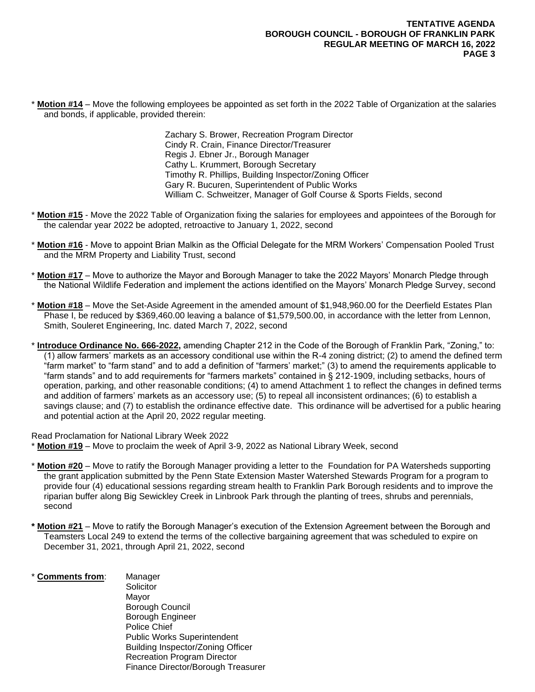**Motion #14** – Move the following employees be appointed as set forth in the 2022 Table of Organization at the salaries and bonds, if applicable, provided therein:

> Zachary S. Brower, Recreation Program Director Cindy R. Crain, Finance Director/Treasurer Regis J. Ebner Jr., Borough Manager Cathy L. Krummert, Borough Secretary Timothy R. Phillips, Building Inspector/Zoning Officer Gary R. Bucuren, Superintendent of Public Works William C. Schweitzer, Manager of Golf Course & Sports Fields, second

- \* **Motion #15** Move the 2022 Table of Organization fixing the salaries for employees and appointees of the Borough for the calendar year 2022 be adopted, retroactive to January 1, 2022, second
- Motion #16 Move to appoint Brian Malkin as the Official Delegate for the MRM Workers' Compensation Pooled Trust and the MRM Property and Liability Trust, second
- \* **Motion #17** Move to authorize the Mayor and Borough Manager to take the 2022 Mayors' Monarch Pledge through the National Wildlife Federation and implement the actions identified on the Mayors' Monarch Pledge Survey, second
- \* **Motion #18** Move the Set-Aside Agreement in the amended amount of \$1,948,960.00 for the Deerfield Estates Plan Phase I, be reduced by \$369,460.00 leaving a balance of \$1,579,500.00, in accordance with the letter from Lennon, Smith, Souleret Engineering, Inc. dated March 7, 2022, second
- \* **Introduce Ordinance No. 666-2022,** amending Chapter 212 in the Code of the Borough of Franklin Park, "Zoning," to: (1) allow farmers' markets as an accessory conditional use within the R-4 zoning district; (2) to amend the defined term "farm market" to "farm stand" and to add a definition of "farmers' market;" (3) to amend the requirements applicable to "farm stands" and to add requirements for "farmers markets" contained in § 212-1909, including setbacks, hours of operation, parking, and other reasonable conditions; (4) to amend Attachment 1 to reflect the changes in defined terms and addition of farmers' markets as an accessory use; (5) to repeal all inconsistent ordinances; (6) to establish a savings clause; and (7) to establish the ordinance effective date. This ordinance will be advertised for a public hearing and potential action at the April 20, 2022 regular meeting.

Read Proclamation for National Library Week 2022 Motion #19 – Move to proclaim the week of April 3-9, 2022 as National Library Week, second

- **Motion #20** Move to ratify the Borough Manager providing a letter to the Foundation for PA Watersheds supporting the grant application submitted by the Penn State Extension Master Watershed Stewards Program for a program to provide four (4) educational sessions regarding stream health to Franklin Park Borough residents and to improve the riparian buffer along Big Sewickley Creek in Linbrook Park through the planting of trees, shrubs and perennials, second
- **Motion #21** Move to ratify the Borough Manager's execution of the Extension Agreement between the Borough and Teamsters Local 249 to extend the terms of the collective bargaining agreement that was scheduled to expire on December 31, 2021, through April 21, 2022, second
- **Comments from:** Manager **Solicitor** 
	- Mayor Borough Council Borough Engineer Police Chief Public Works Superintendent Building Inspector/Zoning Officer Recreation Program Director Finance Director/Borough Treasurer